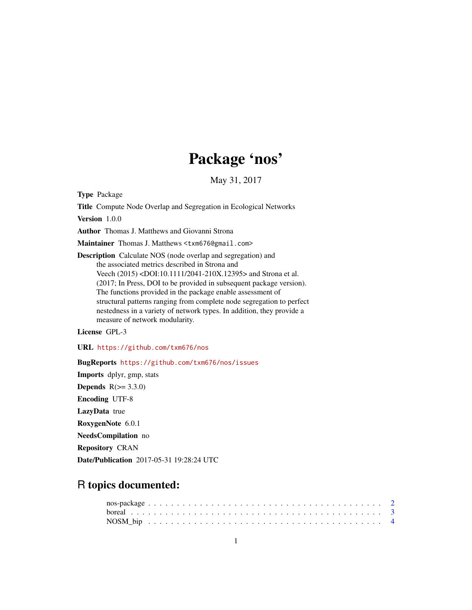## Package 'nos'

May 31, 2017

Type Package

Title Compute Node Overlap and Segregation in Ecological Networks

Version 1.0.0

Author Thomas J. Matthews and Giovanni Strona

Maintainer Thomas J. Matthews <txm676@gmail.com>

Description Calculate NOS (node overlap and segregation) and the associated metrics described in Strona and Veech (2015) <DOI:10.1111/2041-210X.12395> and Strona et al. (2017; In Press, DOI to be provided in subsequent package version). The functions provided in the package enable assessment of structural patterns ranging from complete node segregation to perfect nestedness in a variety of network types. In addition, they provide a measure of network modularity.

License GPL-3

URL <https://github.com/txm676/nos>

BugReports <https://github.com/txm676/nos/issues>

Imports dplyr, gmp, stats Depends  $R(>= 3.3.0)$ Encoding UTF-8 LazyData true RoxygenNote 6.0.1 NeedsCompilation no Repository CRAN Date/Publication 2017-05-31 19:28:24 UTC

### R topics documented: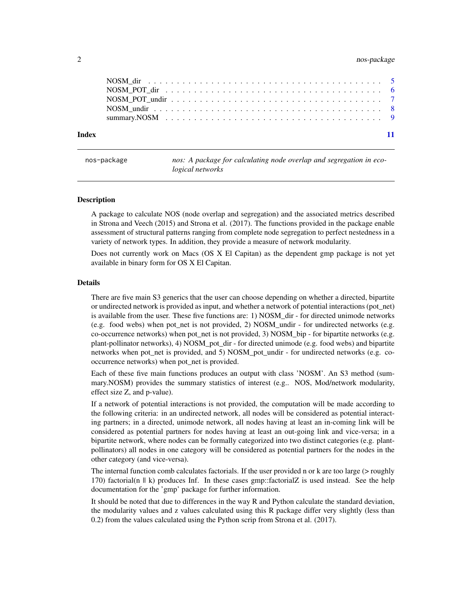#### <span id="page-1-0"></span>2 nos-package

| Index |  |
|-------|--|

nos: A package for calculating node overlap and segregation in eco*logical networks*

#### Description

A package to calculate NOS (node overlap and segregation) and the associated metrics described in Strona and Veech (2015) and Strona et al. (2017). The functions provided in the package enable assessment of structural patterns ranging from complete node segregation to perfect nestedness in a variety of network types. In addition, they provide a measure of network modularity.

Does not currently work on Macs (OS X El Capitan) as the dependent gmp package is not yet available in binary form for OS X El Capitan.

#### Details

There are five main S3 generics that the user can choose depending on whether a directed, bipartite or undirected network is provided as input, and whether a network of potential interactions (pot\_net) is available from the user. These five functions are: 1) NOSM\_dir - for directed unimode networks (e.g. food webs) when pot\_net is not provided, 2) NOSM\_undir - for undirected networks (e.g. co-occurrence networks) when pot\_net is not provided, 3) NOSM\_bip - for bipartite networks (e.g. plant-pollinator networks), 4) NOSM\_pot\_dir - for directed unimode (e.g. food webs) and bipartite networks when pot\_net is provided, and 5) NOSM\_pot\_undir - for undirected networks (e.g. cooccurrence networks) when pot\_net is provided.

Each of these five main functions produces an output with class 'NOSM'. An S3 method (summary.NOSM) provides the summary statistics of interest (e.g.. NOS, Mod/network modularity, effect size Z, and p-value).

If a network of potential interactions is not provided, the computation will be made according to the following criteria: in an undirected network, all nodes will be considered as potential interacting partners; in a directed, unimode network, all nodes having at least an in-coming link will be considered as potential partners for nodes having at least an out-going link and vice-versa; in a bipartite network, where nodes can be formally categorized into two distinct categories (e.g. plantpollinators) all nodes in one category will be considered as potential partners for the nodes in the other category (and vice-versa).

The internal function comb calculates factorials. If the user provided n or k are too large (> roughly 170) factorial(n || k) produces Inf. In these cases gmp::factorialZ is used instead. See the help documentation for the 'gmp' package for further information.

It should be noted that due to differences in the way R and Python calculate the standard deviation, the modularity values and z values calculated using this R package differ very slightly (less than 0.2) from the values calculated using the Python scrip from Strona et al. (2017).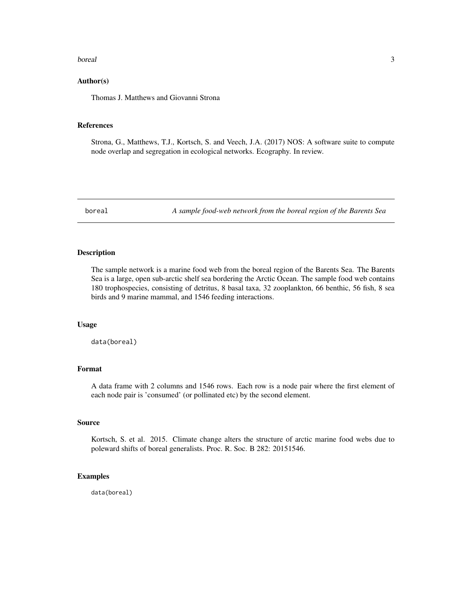#### <span id="page-2-0"></span>boreal 3

#### Author(s)

Thomas J. Matthews and Giovanni Strona

#### References

Strona, G., Matthews, T.J., Kortsch, S. and Veech, J.A. (2017) NOS: A software suite to compute node overlap and segregation in ecological networks. Ecography. In review.

boreal *A sample food-web network from the boreal region of the Barents Sea*

#### Description

The sample network is a marine food web from the boreal region of the Barents Sea. The Barents Sea is a large, open sub-arctic shelf sea bordering the Arctic Ocean. The sample food web contains 180 trophospecies, consisting of detritus, 8 basal taxa, 32 zooplankton, 66 benthic, 56 fish, 8 sea birds and 9 marine mammal, and 1546 feeding interactions.

#### Usage

data(boreal)

#### Format

A data frame with 2 columns and 1546 rows. Each row is a node pair where the first element of each node pair is 'consumed' (or pollinated etc) by the second element.

#### Source

Kortsch, S. et al. 2015. Climate change alters the structure of arctic marine food webs due to poleward shifts of boreal generalists. Proc. R. Soc. B 282: 20151546.

#### Examples

data(boreal)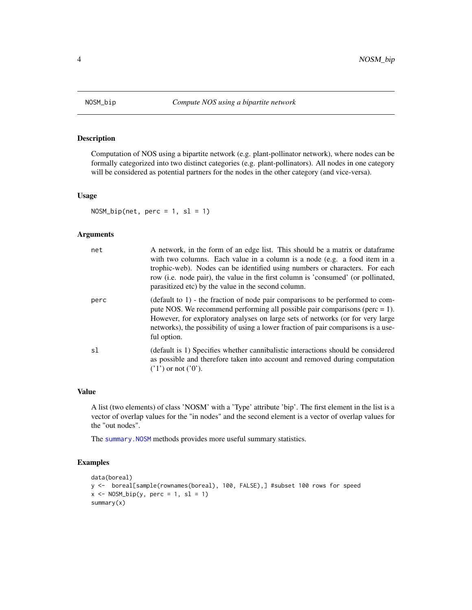<span id="page-3-1"></span><span id="page-3-0"></span>

#### Description

Computation of NOS using a bipartite network (e.g. plant-pollinator network), where nodes can be formally categorized into two distinct categories (e.g. plant-pollinators). All nodes in one category will be considered as potential partners for the nodes in the other category (and vice-versa).

#### Usage

 $NOSM_bip(net, perc = 1, sl = 1)$ 

#### Arguments

| net  | A network, in the form of an edge list. This should be a matrix or data frame<br>with two columns. Each value in a column is a node (e.g. a food item in a<br>trophic-web). Nodes can be identified using numbers or characters. For each<br>row (i.e. node pair), the value in the first column is 'consumed' (or pollinated,<br>parasitized etc) by the value in the second column. |
|------|---------------------------------------------------------------------------------------------------------------------------------------------------------------------------------------------------------------------------------------------------------------------------------------------------------------------------------------------------------------------------------------|
| perc | (default to $1$ ) - the fraction of node pair comparisons to be performed to com-<br>pute NOS. We recommend performing all possible pair comparisons (perc $= 1$ ).<br>However, for exploratory analyses on large sets of networks (or for very large<br>networks), the possibility of using a lower fraction of pair comparisons is a use-<br>ful option.                            |
| s1   | (default is 1) Specifies whether cannibalistic interactions should be considered<br>as possible and therefore taken into account and removed during computation<br>$('1')$ or not $('0').$                                                                                                                                                                                            |

#### Value

A list (two elements) of class 'NOSM' with a 'Type' attribute 'bip'. The first element in the list is a vector of overlap values for the "in nodes" and the second element is a vector of overlap values for the "out nodes".

The summary. NOSM methods provides more useful summary statistics.

```
data(boreal)
y <- boreal[sample(rownames(boreal), 100, FALSE),] #subset 100 rows for speed
x \leq -NOSM_bip(y, perc = 1, sl = 1)summary(x)
```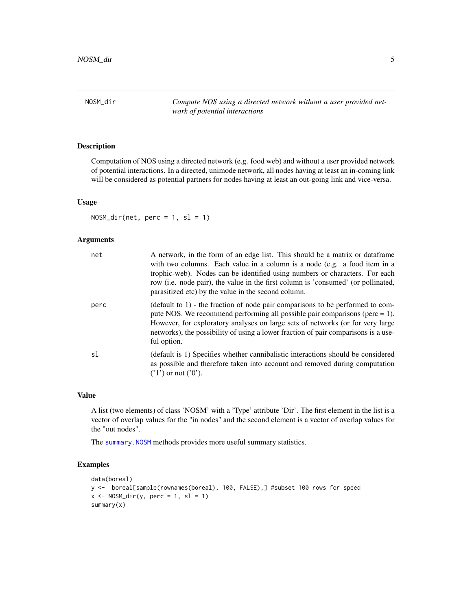<span id="page-4-1"></span><span id="page-4-0"></span>NOSM\_dir *Compute NOS using a directed network without a user provided network of potential interactions*

#### Description

Computation of NOS using a directed network (e.g. food web) and without a user provided network of potential interactions. In a directed, unimode network, all nodes having at least an in-coming link will be considered as potential partners for nodes having at least an out-going link and vice-versa.

#### Usage

 $NOSM\_dir(net, perc = 1, sl = 1)$ 

#### **Arguments**

| net  | A network, in the form of an edge list. This should be a matrix or dataframe<br>with two columns. Each value in a column is a node (e.g. a food item in a<br>trophic-web). Nodes can be identified using numbers or characters. For each<br>row (i.e. node pair), the value in the first column is 'consumed' (or pollinated,<br>parasitized etc) by the value in the second column. |
|------|--------------------------------------------------------------------------------------------------------------------------------------------------------------------------------------------------------------------------------------------------------------------------------------------------------------------------------------------------------------------------------------|
| perc | $(\text{default to 1})$ - the fraction of node pair comparisons to be performed to com-<br>pute NOS. We recommend performing all possible pair comparisons ( $perc = 1$ ).<br>However, for exploratory analyses on large sets of networks (or for very large<br>networks), the possibility of using a lower fraction of pair comparisons is a use-<br>ful option.                    |
| sl   | (default is 1) Specifies whether cannibalistic interactions should be considered<br>as possible and therefore taken into account and removed during computation<br>$('1')$ or not $('0').$                                                                                                                                                                                           |

#### Value

A list (two elements) of class 'NOSM' with a 'Type' attribute 'Dir'. The first element in the list is a vector of overlap values for the "in nodes" and the second element is a vector of overlap values for the "out nodes".

The summary. NOSM methods provides more useful summary statistics.

```
data(boreal)
y <- boreal[sample(rownames(boreal), 100, FALSE),] #subset 100 rows for speed
x \leq -NOSM\_dir(y, perc = 1, sl = 1)summary(x)
```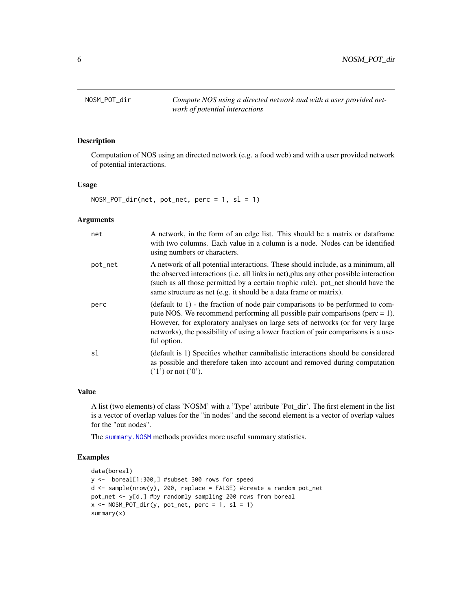<span id="page-5-1"></span><span id="page-5-0"></span>NOSM\_POT\_dir *Compute NOS using a directed network and with a user provided network of potential interactions*

#### Description

Computation of NOS using an directed network (e.g. a food web) and with a user provided network of potential interactions.

#### Usage

NOSM\_POT\_dir(net, pot\_net, perc = 1, sl = 1)

#### Arguments

| net     | A network, in the form of an edge list. This should be a matrix or data frame<br>with two columns. Each value in a column is a node. Nodes can be identified<br>using numbers or characters.                                                                                                                                                                |
|---------|-------------------------------------------------------------------------------------------------------------------------------------------------------------------------------------------------------------------------------------------------------------------------------------------------------------------------------------------------------------|
| pot_net | A network of all potential interactions. These should include, as a minimum, all<br>the observed interactions (i.e. all links in net), plus any other possible interaction<br>(such as all those permitted by a certain trophic rule). pot_net should have the<br>same structure as net (e.g. it should be a data frame or matrix).                         |
| perc    | (default to $1$ ) - the fraction of node pair comparisons to be performed to com-<br>pute NOS. We recommend performing all possible pair comparisons ( $perc = 1$ ).<br>However, for exploratory analyses on large sets of networks (or for very large<br>networks), the possibility of using a lower fraction of pair comparisons is a use-<br>ful option. |
| sl      | (default is 1) Specifies whether cannibalistic interactions should be considered<br>as possible and therefore taken into account and removed during computation<br>$('1')$ or not $('0').$                                                                                                                                                                  |

#### Value

A list (two elements) of class 'NOSM' with a 'Type' attribute 'Pot\_dir'. The first element in the list is a vector of overlap values for the "in nodes" and the second element is a vector of overlap values for the "out nodes".

The [summary.NOSM](#page-8-1) methods provides more useful summary statistics.

```
data(boreal)
y <- boreal[1:300,] #subset 300 rows for speed
d \leq - sample(nrow(y), 200, replace = FALSE) #create a random pot_net
pot_net <- y[d,] #by randomly sampling 200 rows from boreal
x \le - NOSM_POT_dir(y, pot_net, perc = 1, sl = 1)
summary(x)
```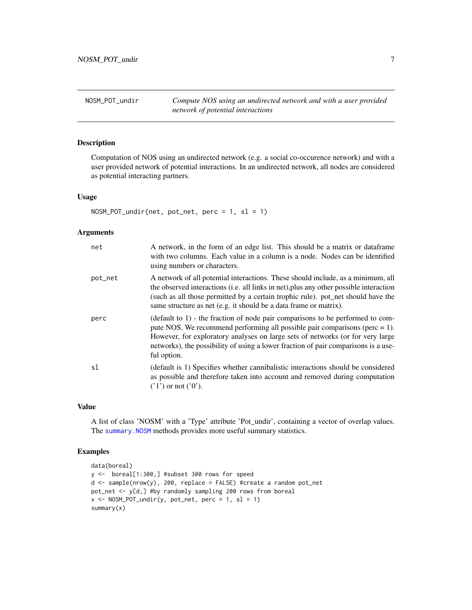<span id="page-6-1"></span><span id="page-6-0"></span>NOSM\_POT\_undir *Compute NOS using an undirected network and with a user provided network of potential interactions*

#### Description

Computation of NOS using an undirected network (e.g. a social co-occurence network) and with a user provided network of potential interactions. In an undirected network, all nodes are considered as potential interacting partners.

#### Usage

```
NOSM_POT_undir(net, pot_net, perc = 1, sl = 1)
```
#### Arguments

| net     | A network, in the form of an edge list. This should be a matrix or data frame<br>with two columns. Each value in a column is a node. Nodes can be identified<br>using numbers or characters.                                                                                                                                                             |
|---------|----------------------------------------------------------------------------------------------------------------------------------------------------------------------------------------------------------------------------------------------------------------------------------------------------------------------------------------------------------|
| pot_net | A network of all potential interactions. These should include, as a minimum, all<br>the observed interactions (i.e. all links in net), plus any other possible interaction<br>(such as all those permitted by a certain trophic rule). pot_net should have the<br>same structure as net (e.g. it should be a data frame or matrix).                      |
| perc    | (default to 1) - the fraction of node pair comparisons to be performed to com-<br>pute NOS. We recommend performing all possible pair comparisons ( $perc = 1$ ).<br>However, for exploratory analyses on large sets of networks (or for very large<br>networks), the possibility of using a lower fraction of pair comparisons is a use-<br>ful option. |
| sl      | (default is 1) Specifies whether cannibalistic interactions should be considered<br>as possible and therefore taken into account and removed during computation<br>$('1')$ or not $('0').$                                                                                                                                                               |

#### Value

A list of class 'NOSM' with a 'Type' attribute 'Pot\_undir', containing a vector of overlap values. The summary. NOSM methods provides more useful summary statistics.

```
data(boreal)
y <- boreal[1:300,] #subset 300 rows for speed
d <- sample(nrow(y), 200, replace = FALSE) #create a random pot_net
pot_net <- y[d,] #by randomly sampling 200 rows from boreal
x \le - NOSM_POT_undir(y, pot_net, perc = 1, sl = 1)
summary(x)
```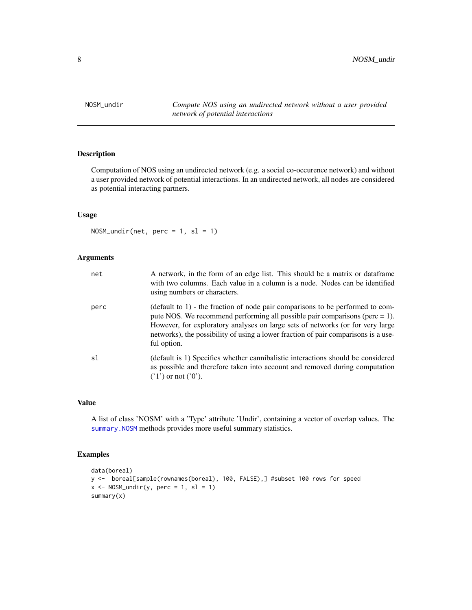<span id="page-7-1"></span><span id="page-7-0"></span>NOSM\_undir *Compute NOS using an undirected network without a user provided network of potential interactions*

#### Description

Computation of NOS using an undirected network (e.g. a social co-occurence network) and without a user provided network of potential interactions. In an undirected network, all nodes are considered as potential interacting partners.

#### Usage

 $NOSM\_undir(net, perc = 1, sl = 1)$ 

#### Arguments

| net  | A network, in the form of an edge list. This should be a matrix or data frame<br>with two columns. Each value in a column is a node. Nodes can be identified<br>using numbers or characters.                                                                                                                                                             |
|------|----------------------------------------------------------------------------------------------------------------------------------------------------------------------------------------------------------------------------------------------------------------------------------------------------------------------------------------------------------|
| perc | (default to 1) - the fraction of node pair comparisons to be performed to com-<br>pute NOS. We recommend performing all possible pair comparisons ( $perc = 1$ ).<br>However, for exploratory analyses on large sets of networks (or for very large<br>networks), the possibility of using a lower fraction of pair comparisons is a use-<br>ful option. |
| s1   | (default is 1) Specifies whether cannibalistic interactions should be considered<br>as possible and therefore taken into account and removed during computation<br>$('1')$ or not $('0').$                                                                                                                                                               |

#### Value

A list of class 'NOSM' with a 'Type' attribute 'Undir', containing a vector of overlap values. The [summary.NOSM](#page-8-1) methods provides more useful summary statistics.

```
data(boreal)
y <- boreal[sample(rownames(boreal), 100, FALSE),] #subset 100 rows for speed
x \le - NOSM_undir(y, perc = 1, sl = 1)
summary(x)
```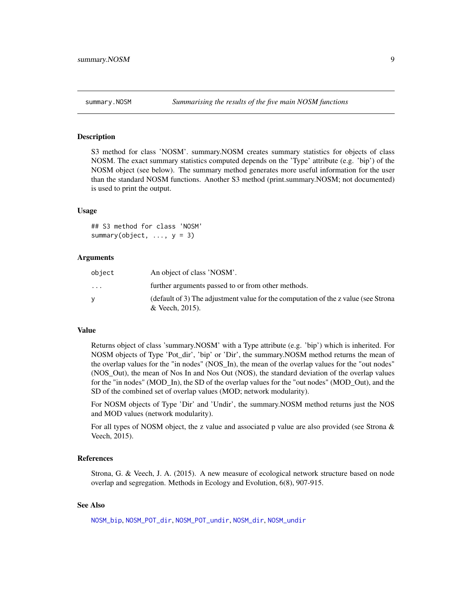<span id="page-8-1"></span><span id="page-8-0"></span>

#### **Description**

S3 method for class 'NOSM'. summary.NOSM creates summary statistics for objects of class NOSM. The exact summary statistics computed depends on the 'Type' attribute (e.g. 'bip') of the NOSM object (see below). The summary method generates more useful information for the user than the standard NOSM functions. Another S3 method (print.summary.NOSM; not documented) is used to print the output.

#### Usage

## S3 method for class 'NOSM' summary(object,  $\ldots$ ,  $y = 3$ )

#### Arguments

| object   | An object of class 'NOSM'.                                                                            |
|----------|-------------------------------------------------------------------------------------------------------|
| $\cdots$ | further arguments passed to or from other methods.                                                    |
| v        | (default of 3) The adjustment value for the computation of the z value (see Strona<br>& Veech, 2015). |
|          |                                                                                                       |

#### Value

Returns object of class 'summary.NOSM' with a Type attribute (e.g. 'bip') which is inherited. For NOSM objects of Type 'Pot\_dir', 'bip' or 'Dir', the summary.NOSM method returns the mean of the overlap values for the "in nodes" (NOS\_In), the mean of the overlap values for the "out nodes" (NOS\_Out), the mean of Nos In and Nos Out (NOS), the standard deviation of the overlap values for the "in nodes" (MOD In), the SD of the overlap values for the "out nodes" (MOD Out), and the SD of the combined set of overlap values (MOD; network modularity).

For NOSM objects of Type 'Dir' and 'Undir', the summary.NOSM method returns just the NOS and MOD values (network modularity).

For all types of NOSM object, the z value and associated p value are also provided (see Strona  $\&$ Veech, 2015).

#### References

Strona, G. & Veech, J. A. (2015). A new measure of ecological network structure based on node overlap and segregation. Methods in Ecology and Evolution, 6(8), 907-915.

#### See Also

[NOSM\\_bip](#page-3-1), [NOSM\\_POT\\_dir](#page-5-1), [NOSM\\_POT\\_undir](#page-6-1), [NOSM\\_dir](#page-4-1), [NOSM\\_undir](#page-7-1)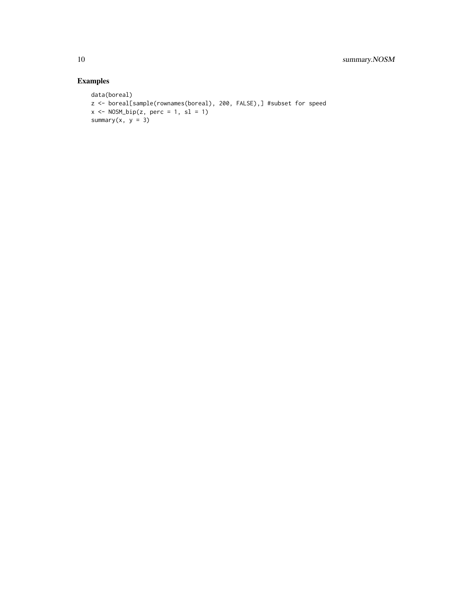```
data(boreal)
z <- boreal[sample(rownames(boreal), 200, FALSE),] #subset for speed
x \leq - NOSM_bip(z, perc = 1, sl = 1)
summary(x, y = 3)
```